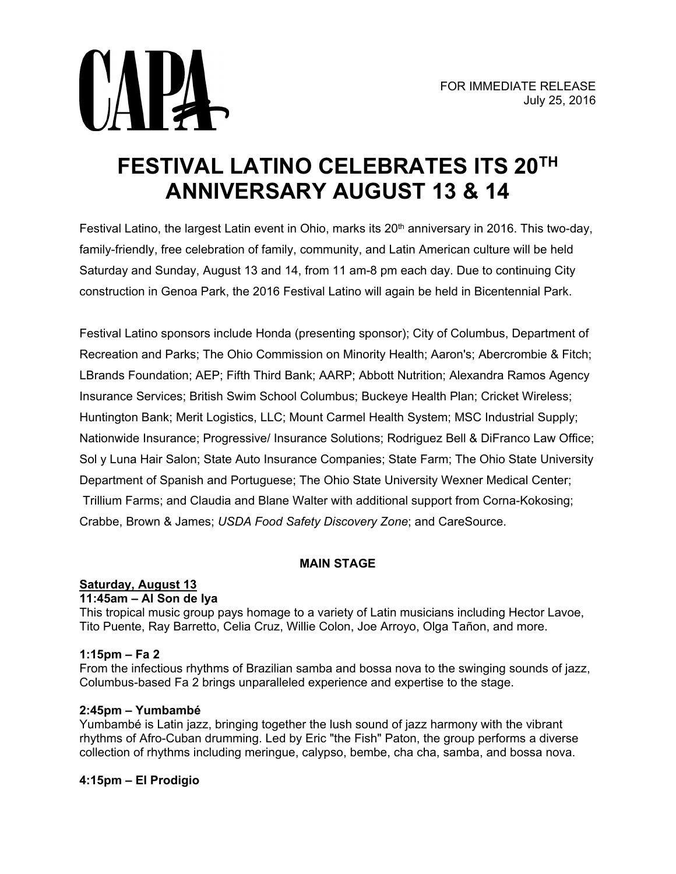

# **FESTIVAL LATINO CELEBRATES ITS 20TH ANNIVERSARY AUGUST 13 & 14**

Festival Latino, the largest Latin event in Ohio, marks its 20<sup>th</sup> anniversary in 2016. This two-day, family-friendly, free celebration of family, community, and Latin American culture will be held Saturday and Sunday, August 13 and 14, from 11 am-8 pm each day. Due to continuing City construction in Genoa Park, the 2016 Festival Latino will again be held in Bicentennial Park.

Festival Latino sponsors include Honda (presenting sponsor); City of Columbus, Department of Recreation and Parks; The Ohio Commission on Minority Health; Aaron's; Abercrombie & Fitch; LBrands Foundation; AEP; Fifth Third Bank; AARP; Abbott Nutrition; Alexandra Ramos Agency Insurance Services; British Swim School Columbus; Buckeye Health Plan; Cricket Wireless; Huntington Bank; Merit Logistics, LLC; Mount Carmel Health System; MSC Industrial Supply; Nationwide Insurance; Progressive/ Insurance Solutions; Rodriguez Bell & DiFranco Law Office; Sol y Luna Hair Salon; State Auto Insurance Companies; State Farm; The Ohio State University Department of Spanish and Portuguese; The Ohio State University Wexner Medical Center; Trillium Farms; and Claudia and Blane Walter with additional support from Corna-Kokosing; Crabbe, Brown & James; *USDA Food Safety Discovery Zone*; and CareSource.

# **MAIN STAGE**

# **Saturday, August 13**

# **11:45am – Al Son de Iya**

This tropical music group pays homage to a variety of Latin musicians including Hector Lavoe, Tito Puente, Ray Barretto, Celia Cruz, Willie Colon, Joe Arroyo, Olga Tañon, and more.

# **1:15pm – Fa 2**

From the infectious rhythms of Brazilian samba and bossa nova to the swinging sounds of jazz, Columbus-based Fa 2 brings unparalleled experience and expertise to the stage.

# **2:45pm – Yumbambé**

Yumbambé is Latin jazz, bringing together the lush sound of jazz harmony with the vibrant rhythms of Afro-Cuban drumming. Led by Eric "the Fish" Paton, the group performs a diverse collection of rhythms including meringue, calypso, bembe, cha cha, samba, and bossa nova.

# **4:15pm – El Prodigio**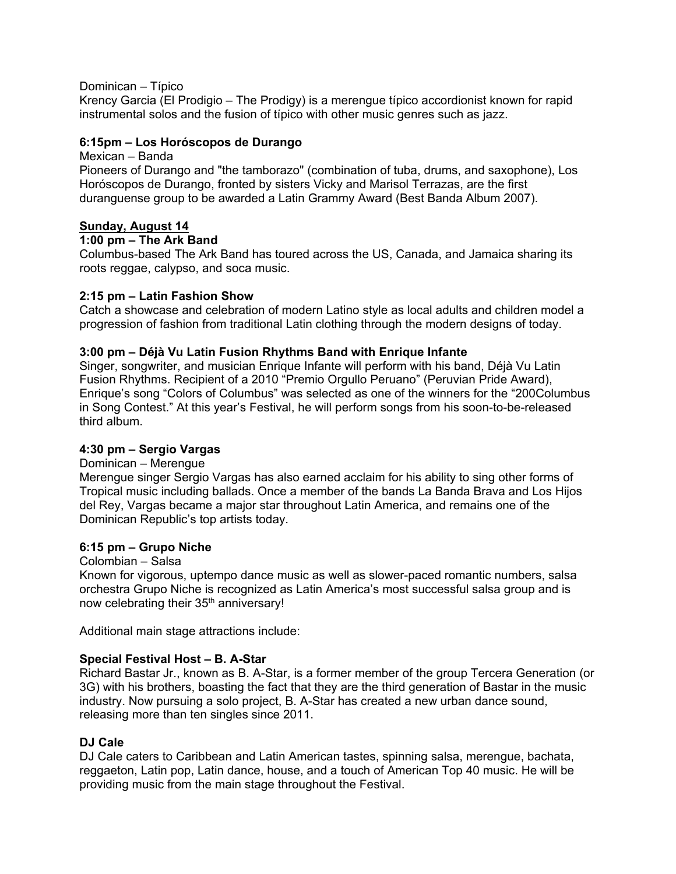#### Dominican – Típico

Krency Garcia (El Prodigio – The Prodigy) is a merengue típico accordionist known for rapid instrumental solos and the fusion of típico with other music genres such as jazz.

#### **6:15pm – Los Horóscopos de Durango**

#### Mexican – Banda

Pioneers of Durango and "the tamborazo" (combination of tuba, drums, and saxophone), Los Horóscopos de Durango, fronted by sisters Vicky and Marisol Terrazas, are the first duranguense group to be awarded a Latin Grammy Award (Best Banda Album 2007).

# **Sunday, August 14**

#### **1:00 pm – The Ark Band**

Columbus-based The Ark Band has toured across the US, Canada, and Jamaica sharing its roots reggae, calypso, and soca music.

#### **2:15 pm – Latin Fashion Show**

Catch a showcase and celebration of modern Latino style as local adults and children model a progression of fashion from traditional Latin clothing through the modern designs of today.

#### **3:00 pm – Déjà Vu Latin Fusion Rhythms Band with Enrique Infante**

Singer, songwriter, and musician Enrique Infante will perform with his band, Déjà Vu Latin Fusion Rhythms. Recipient of a 2010 "Premio Orgullo Peruano" (Peruvian Pride Award), Enrique's song "Colors of Columbus" was selected as one of the winners for the "200Columbus in Song Contest." At this year's Festival, he will perform songs from his soon-to-be-released third album.

# **4:30 pm – Sergio Vargas**

#### Dominican – Merengue

Merengue singer Sergio Vargas has also earned acclaim for his ability to sing other forms of Tropical music including ballads. Once a member of the bands La Banda Brava and Los Hijos del Rey, Vargas became a major star throughout Latin America, and remains one of the Dominican Republic's top artists today.

#### **6:15 pm – Grupo Niche**

#### Colombian – Salsa

Known for vigorous, uptempo dance music as well as slower-paced romantic numbers, salsa orchestra Grupo Niche is recognized as Latin America's most successful salsa group and is now celebrating their 35<sup>th</sup> anniversary!

Additional main stage attractions include:

#### **Special Festival Host – B. A-Star**

Richard Bastar Jr., known as B. A-Star, is a former member of the group Tercera Generation (or 3G) with his brothers, boasting the fact that they are the third generation of Bastar in the music industry. Now pursuing a solo project, B. A-Star has created a new urban dance sound, releasing more than ten singles since 2011.

# **DJ Cale**

DJ Cale caters to Caribbean and Latin American tastes, spinning salsa, merengue, bachata, reggaeton, Latin pop, Latin dance, house, and a touch of American Top 40 music. He will be providing music from the main stage throughout the Festival.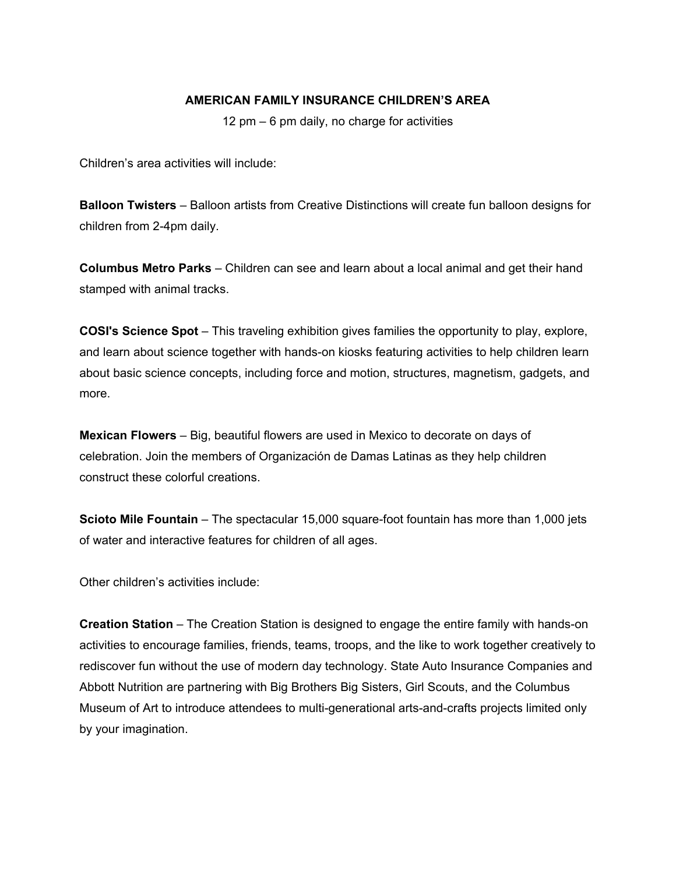#### **AMERICAN FAMILY INSURANCE CHILDREN'S AREA**

12 pm – 6 pm daily, no charge for activities

Children's area activities will include:

**Balloon Twisters** – Balloon artists from Creative Distinctions will create fun balloon designs for children from 2-4pm daily.

**Columbus Metro Parks** – Children can see and learn about a local animal and get their hand stamped with animal tracks.

**COSI's Science Spot** – This traveling exhibition gives families the opportunity to play, explore, and learn about science together with hands-on kiosks featuring activities to help children learn about basic science concepts, including force and motion, structures, magnetism, gadgets, and more.

**Mexican Flowers** – Big, beautiful flowers are used in Mexico to decorate on days of celebration. Join the members of Organización de Damas Latinas as they help children construct these colorful creations.

**Scioto Mile Fountain** – The spectacular 15,000 square-foot fountain has more than 1,000 jets of water and interactive features for children of all ages.

Other children's activities include:

**Creation Station** – The Creation Station is designed to engage the entire family with hands-on activities to encourage families, friends, teams, troops, and the like to work together creatively to rediscover fun without the use of modern day technology. State Auto Insurance Companies and Abbott Nutrition are partnering with Big Brothers Big Sisters, Girl Scouts, and the Columbus Museum of Art to introduce attendees to multi-generational arts-and-crafts projects limited only by your imagination.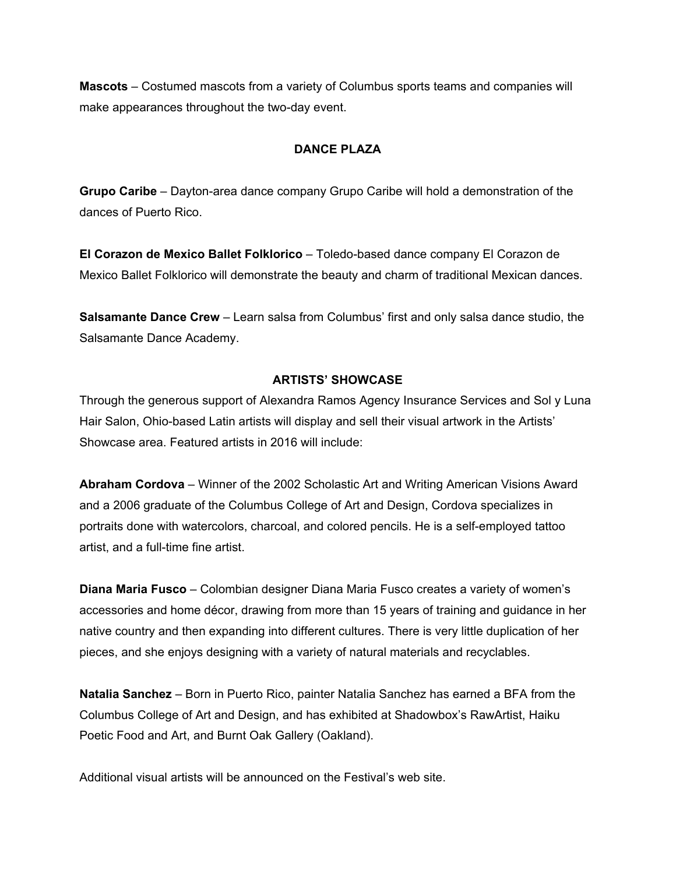**Mascots** – Costumed mascots from a variety of Columbus sports teams and companies will make appearances throughout the two-day event.

# **DANCE PLAZA**

**Grupo Caribe** – Dayton-area dance company Grupo Caribe will hold a demonstration of the dances of Puerto Rico.

**El Corazon de Mexico Ballet Folklorico** – Toledo-based dance company El Corazon de Mexico Ballet Folklorico will demonstrate the beauty and charm of traditional Mexican dances.

**Salsamante Dance Crew** – Learn salsa from Columbus' first and only salsa dance studio, the Salsamante Dance Academy.

#### **ARTISTS' SHOWCASE**

Through the generous support of Alexandra Ramos Agency Insurance Services and Sol y Luna Hair Salon, Ohio-based Latin artists will display and sell their visual artwork in the Artists' Showcase area. Featured artists in 2016 will include:

**Abraham Cordova** – Winner of the 2002 Scholastic Art and Writing American Visions Award and a 2006 graduate of the Columbus College of Art and Design, Cordova specializes in portraits done with watercolors, charcoal, and colored pencils. He is a self-employed tattoo artist, and a full-time fine artist.

**Diana Maria Fusco** – Colombian designer Diana Maria Fusco creates a variety of women's accessories and home décor, drawing from more than 15 years of training and guidance in her native country and then expanding into different cultures. There is very little duplication of her pieces, and she enjoys designing with a variety of natural materials and recyclables.

**Natalia Sanchez** – Born in Puerto Rico, painter Natalia Sanchez has earned a BFA from the Columbus College of Art and Design, and has exhibited at Shadowbox's RawArtist, Haiku Poetic Food and Art, and Burnt Oak Gallery (Oakland).

Additional visual artists will be announced on the Festival's web site.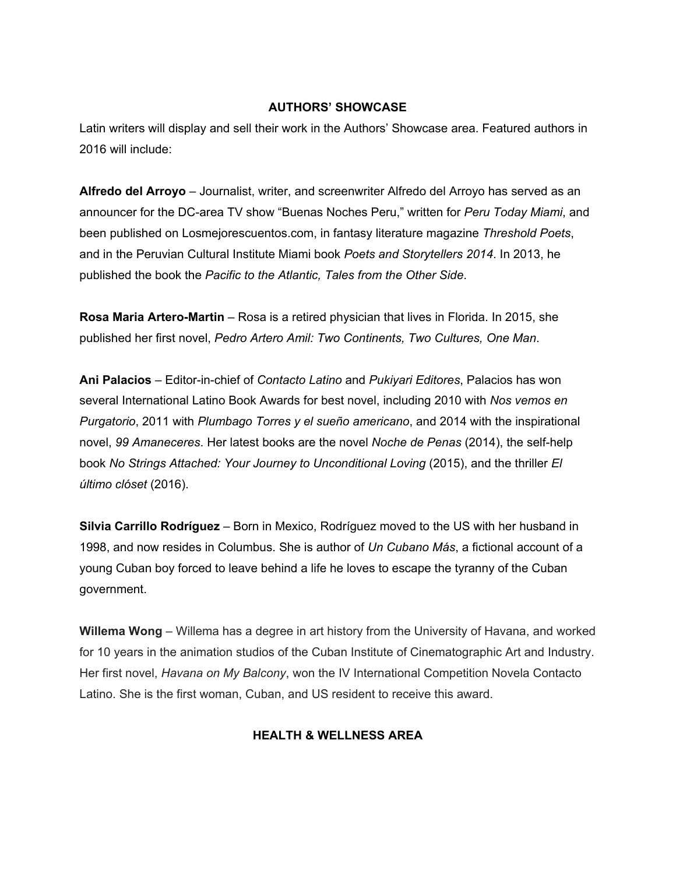#### **AUTHORS' SHOWCASE**

Latin writers will display and sell their work in the Authors' Showcase area. Featured authors in 2016 will include:

**Alfredo del Arroyo** – Journalist, writer, and screenwriter Alfredo del Arroyo has served as an announcer for the DC-area TV show "Buenas Noches Peru," written for *Peru Today Miami*, and been published on Losmejorescuentos.com, in fantasy literature magazine *Threshold Poets*, and in the Peruvian Cultural Institute Miami book *Poets and Storytellers 2014*. In 2013, he published the book the *Pacific to the Atlantic, Tales from the Other Side*.

**Rosa Maria Artero-Martin** – Rosa is a retired physician that lives in Florida. In 2015, she published her first novel, *Pedro Artero Amil: Two Continents, Two Cultures, One Man*.

**Ani Palacios** – Editor-in-chief of *Contacto Latino* and *Pukiyari Editores*, Palacios has won several International Latino Book Awards for best novel, including 2010 with *Nos vemos en Purgatorio*, 2011 with *Plumbago Torres y el sueño americano*, and 2014 with the inspirational novel, *99 Amaneceres*. Her latest books are the novel *Noche de Penas* (2014), the self-help book *No Strings Attached: Your Journey to Unconditional Loving* (2015), and the thriller *El último clóset* (2016).

**Silvia Carrillo Rodríguez** – Born in Mexico, Rodríguez moved to the US with her husband in 1998, and now resides in Columbus. She is author of *Un Cubano Más*, a fictional account of a young Cuban boy forced to leave behind a life he loves to escape the tyranny of the Cuban government.

**Willema Wong** – Willema has a degree in art history from the University of Havana, and worked for 10 years in the animation studios of the Cuban Institute of Cinematographic Art and Industry. Her first novel, *Havana on My Balcony*, won the IV International Competition Novela Contacto Latino. She is the first woman, Cuban, and US resident to receive this award.

# **HEALTH & WELLNESS AREA**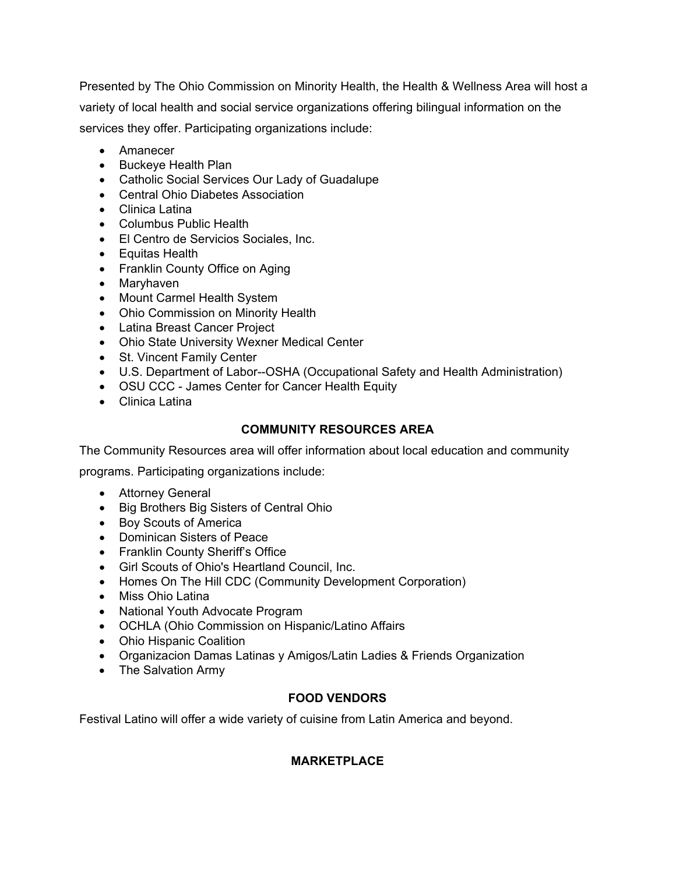Presented by The Ohio Commission on Minority Health, the Health & Wellness Area will host a variety of local health and social service organizations offering bilingual information on the services they offer. Participating organizations include:

- Amanecer
- Buckeye Health Plan
- Catholic Social Services Our Lady of Guadalupe
- Central Ohio Diabetes Association
- Clinica Latina
- Columbus Public Health
- El Centro de Servicios Sociales, Inc.
- Equitas Health
- Franklin County Office on Aging
- Maryhaven
- Mount Carmel Health System
- Ohio Commission on Minority Health
- Latina Breast Cancer Project
- Ohio State University Wexner Medical Center
- St. Vincent Family Center
- U.S. Department of Labor--OSHA (Occupational Safety and Health Administration)
- OSU CCC James Center for Cancer Health Equity
- Clinica Latina

# **COMMUNITY RESOURCES AREA**

The Community Resources area will offer information about local education and community

programs. Participating organizations include:

- Attorney General
- Big Brothers Big Sisters of Central Ohio
- Boy Scouts of America
- Dominican Sisters of Peace
- Franklin County Sheriff's Office
- Girl Scouts of Ohio's Heartland Council, Inc.
- Homes On The Hill CDC (Community Development Corporation)
- Miss Ohio Latina
- National Youth Advocate Program
- OCHLA (Ohio Commission on Hispanic/Latino Affairs
- Ohio Hispanic Coalition
- Organizacion Damas Latinas y Amigos/Latin Ladies & Friends Organization
- The Salvation Army

# **FOOD VENDORS**

Festival Latino will offer a wide variety of cuisine from Latin America and beyond.

# **MARKETPLACE**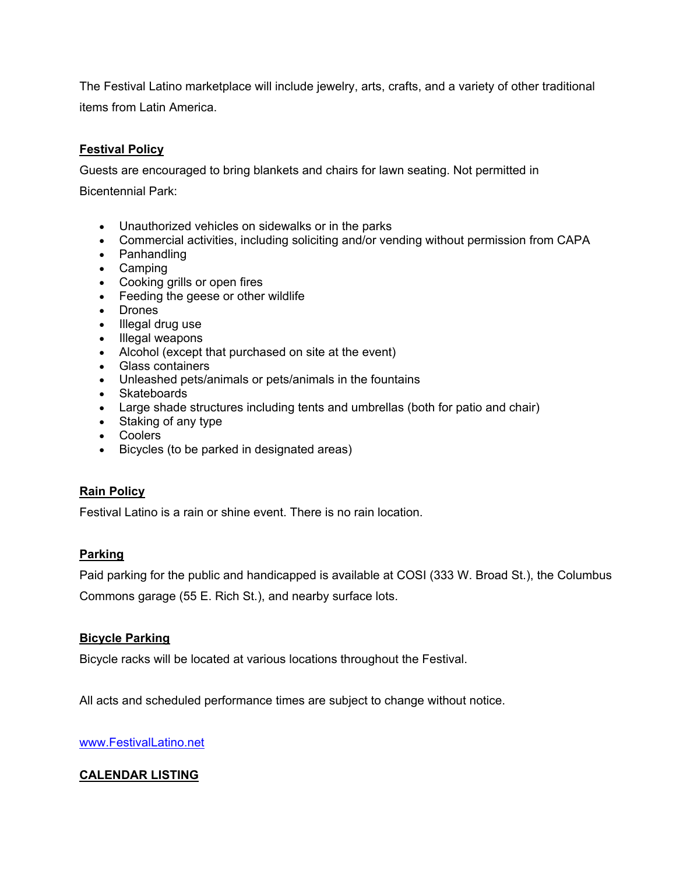The Festival Latino marketplace will include jewelry, arts, crafts, and a variety of other traditional items from Latin America.

# **Festival Policy**

Guests are encouraged to bring blankets and chairs for lawn seating. Not permitted in

Bicentennial Park:

- Unauthorized vehicles on sidewalks or in the parks
- Commercial activities, including soliciting and/or vending without permission from CAPA
- Panhandling
- Camping
- Cooking grills or open fires
- Feeding the geese or other wildlife
- Drones
- Illegal drug use
- Illegal weapons
- Alcohol (except that purchased on site at the event)
- Glass containers
- Unleashed pets/animals or pets/animals in the fountains
- Skateboards
- Large shade structures including tents and umbrellas (both for patio and chair)
- Staking of any type
- Coolers
- Bicycles (to be parked in designated areas)

# **Rain Policy**

Festival Latino is a rain or shine event. There is no rain location.

# **Parking**

Paid parking for the public and handicapped is available at COSI (333 W. Broad St.), the Columbus Commons garage (55 E. Rich St.), and nearby surface lots.

# **Bicycle Parking**

Bicycle racks will be located at various locations throughout the Festival.

All acts and scheduled performance times are subject to change without notice.

[www.FestivalLatino.net](http://www.festivallatino.net/) 

# **CALENDAR LISTING**